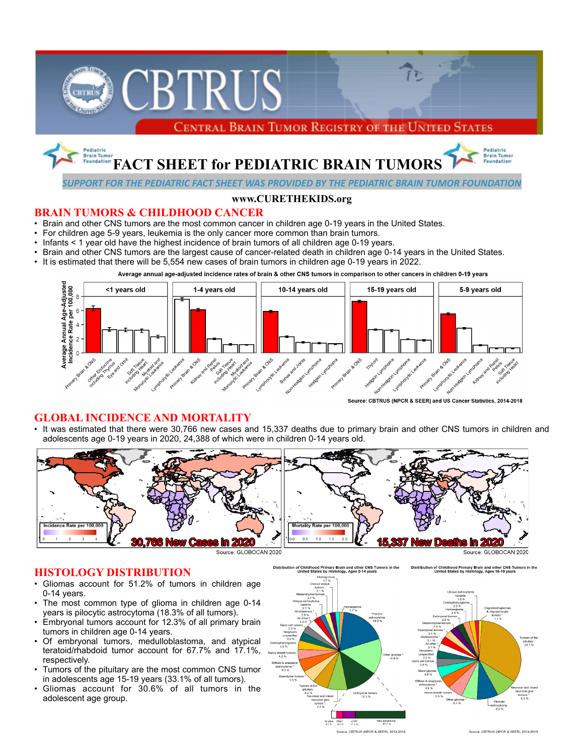

# **BRAIN TUMORS & CHILDHOOD CANCER**

- Brain and other CNS tumors are the most common cancer in children age 0-19 years in the United States.
- For children age 5-9 years, leukemia is the only cancer more common than brain tumors.<br>• Infants < 1 year old have the bighest incidence of brain tumors of all children age 0-19 ye
- Infants < 1 year old have the highest incidence of brain tumors of all children age 0-19 years.
- Brain and other CNS tumors are the largest cause of cancer-related death in children age 0-14 years in the United States.
- It is estimated that there will be 5,554 new cases of brain tumors in children age 0-19 years in 2022.





Source: CBTRUS (NPCR & SEER) and US Cancer Statistics, 2014-2018

## **GLOBAL INCIDENCE AND MORTALITY**

• It was estimated that there were 30,766 new cases and 15,337 deaths due to primary brain and other CNS tumors in children and adolescents age 0-19 years in 2020, 24,388 of which were in children 0-14 years old.



Distribution of Childhood Primary Brain and other CNS Tumors in the<br>United States by Histology, Ages 0-14 years

Source: GLOBOCAN 2020



- Gliomas account for 51.2% of tumors in children age 0-14 years.
- The most common type of glioma in children age 0-14 years is pilocytic astrocytoma (18.3% of all tumors).
- Embryonal tumors account for 12.3% of all primary brain tumors in children age 0-14 years.
- Of embryonal tumors, medulloblastoma, and atypical teratoid/rhabdoid tumor account for 67.7% and 17.1%, respectively.
- Tumors of the pituitary are the most common CNS tumor in adolescents age 15-19 years (33.1% of all tumors).
- Gliomas account for 30.6% of all tumors in the adolescent age group.



Source: CBTRUS (NPCR & SEER), 2014-2018

Distribution of Childhood Primary Brain and other CNS Tumors in the<br>United States by Histology, Ages 15-19 vears